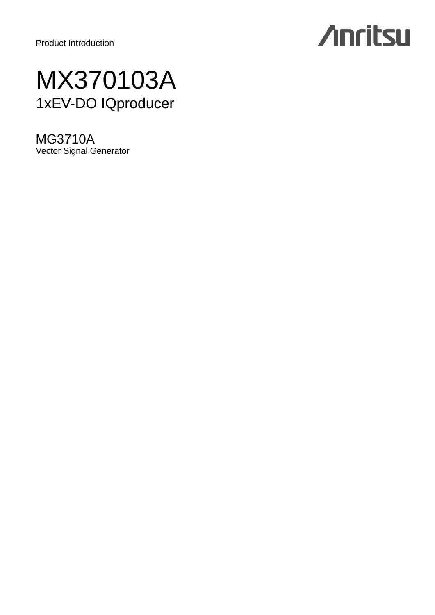Product Introduction

# **Anritsu**

# MX370103A 1xEV-DO IQproducer

MG3710A Vector Signal Generator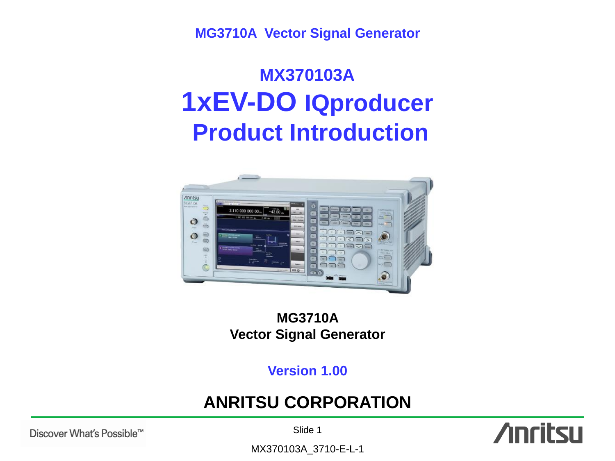**MG3710A Vector Signal Generator**

# **MX370103A 1xEV-DO IQproducer Product Introduction**



## **MG3710A Vector Signal Generator**

**Version 1.00**

# **ANRITSU CORPORATION**



Slide 1

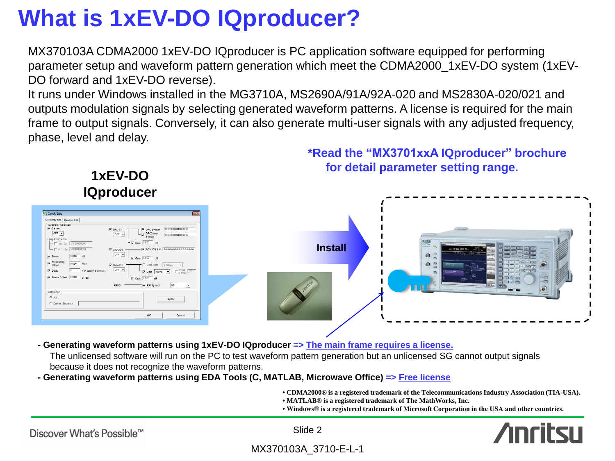# **What is 1xEV-DO IQproducer?**

MX370103A CDMA2000 1xEV-DO IQproducer is PC application software equipped for performing parameter setup and waveform pattern generation which meet the CDMA2000\_1xEV-DO system (1xEV-DO forward and 1xEV-DO reverse).

It runs under Windows installed in the MG3710A, MS2690A/91A/92A-020 and MS2830A-020/021 and outputs modulation signals by selecting generated waveform patterns. A license is required for the main frame to output signals. Conversely, it can also generate multi-user signals with any adjusted frequency, phase, level and delay.



**- Generating waveform patterns using 1xEV-DO IQproducer => The main frame requires a license.**

The unlicensed software will run on the PC to test waveform pattern generation but an unlicensed SG cannot output signals because it does not recognize the waveform patterns.

**- Generating waveform patterns using EDA Tools (C, MATLAB, Microwave Office) => Free license**

**• CDMA2000® is a registered trademark of the Telecommunications Industry Association (TIA-USA).**

- **MATLAB® is a registered trademark of The MathWorks, Inc.**
- **Windows® is a registered trademark of Microsoft Corporation in the USA and other countries.**

Discover What's Possible™

Slide 2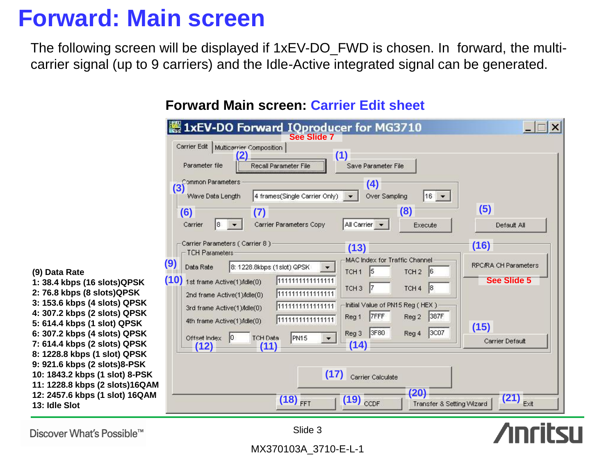# **Forward: Main screen**

The following screen will be displayed if 1xEV-DO\_FWD is chosen. In forward, the multicarrier signal (up to 9 carriers) and the Idle-Active integrated signal can be generated.

| 1xEV-DO Forward IQproducer for MG3710<br>Carrier Edit<br>Multicarrier Composition<br>(1)<br>Parameter file<br><b>Recall Parameter File</b><br>Save Parameter File                                                                                                                                                                                                                                                                                                                                                                                                          |                                                                                   |
|----------------------------------------------------------------------------------------------------------------------------------------------------------------------------------------------------------------------------------------------------------------------------------------------------------------------------------------------------------------------------------------------------------------------------------------------------------------------------------------------------------------------------------------------------------------------------|-----------------------------------------------------------------------------------|
| Common Parameters<br>(4)<br>(3)<br>$16 +$<br>4 frames(Single Carrier Only).<br>Over Sampling<br>Wave Data Length<br>(8)<br>(6)<br>(7)<br>Carrier<br>Carrier Parameters Copy<br>All Carrier v<br>18<br>Execute                                                                                                                                                                                                                                                                                                                                                              | (5)<br>Default All                                                                |
| Carrier Parameters (Carrier 8) -<br>(13)<br><b>TCH Parameters:</b><br><b>MAC</b> Index for Traffic Channel<br>(9)<br>8: 1228.8kbps (1slot) QPSK<br>Data Rate<br>TCH <sub>1</sub><br>15<br>TCH <sub>2</sub><br> 6<br>(10)<br>1111111111111111<br>1st frame Active(1) Adle(0)<br> 8 <br>TCH <sub>3</sub><br>TCH <sub>4</sub><br>1111111111111111<br>2nd frame Active(1) Adle(0)<br>Initial Value of PN15 Reg (HEX)<br>1111111111111111<br>3rd frame Active(1) Adle(0)<br>7FFF<br>Reg 2<br>Reg 1<br>1111111111111111<br>4th frame Active(1) Adle(0)<br>3F80<br>Reg 3<br>Reg 4 | (16)<br><b>RPC/RA CH Parameters</b><br><b>See Slide 5</b><br>387F<br>(15)<br>3C07 |
| <b>TCH Data</b><br>PN <sub>15</sub><br>Offset Index<br>(14)<br>(12)<br>(11)<br>(17)<br>Carrier Calculate<br>١М<br>(20)<br>Μ<br>$(18)$ <sub>FFT</sub><br>$(19)$ <sub>CCDF</sub>                                                                                                                                                                                                                                                                                                                                                                                             | Carrier Default<br>$(21)$ <sub>Exit</sub><br>Transfer & Setting Wizard            |

## **Forward Main screen: Carrier Edit sheet**

**(9) Data Rate**

**1: 38.4 kbps (16 slots)QPSK 2: 76.8 kbps (8 slots)QPSK 3: 153.6 kbps (4 slots) QPSK 4: 307.2 kbps (2 slots) QPSK 5: 614.4 kbps (1 slot) QPSK 6: 307.2 kbps (4 slots) QPSK 7: 614.4 kbps (2 slots) QPSK 8: 1228.8 kbps (1 slot) QPSK 9: 921.6 kbps (2 slots)8-PSK 10: 1843.2 kbps (1 slot) 8-PSK** 11: 1228.8 kbps (2 slots)16QA **12: 2457.6 kbps (1 slot) 16QAM 13: Idle Slot**

Discover What's Possible™

**Anritsu** 

MX370103A\_3710-E-L-1

Slide 3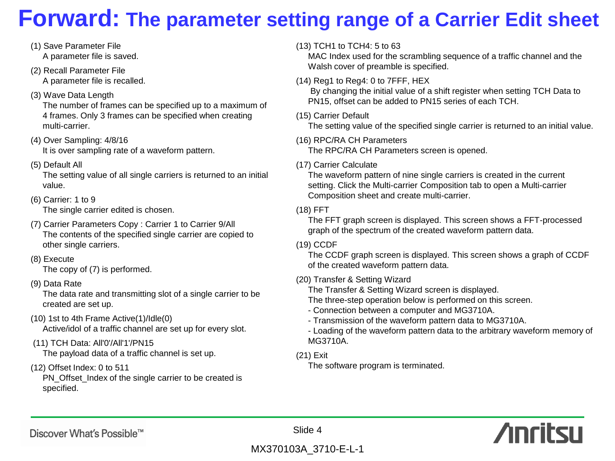# **Forward: The parameter setting range of a Carrier Edit sheet**

- (1) Save Parameter File A parameter file is saved.
- (2) Recall Parameter File A parameter file is recalled.
- (3) Wave Data Length

The number of frames can be specified up to a maximum of 4 frames. Only 3 frames can be specified when creating multi-carrier.

- (4) Over Sampling: 4/8/16 It is over sampling rate of a waveform pattern.
- (5) Default All

The setting value of all single carriers is returned to an initial value.

(6) Carrier: 1 to 9

The single carrier edited is chosen.

- (7) Carrier Parameters Copy : Carrier 1 to Carrier 9/All The contents of the specified single carrier are copied to other single carriers.
- (8) Execute

The copy of (7) is performed.

(9) Data Rate

The data rate and transmitting slot of a single carrier to be created are set up.

- (10) 1st to 4th Frame Active(1)/Idle(0) Active/idol of a traffic channel are set up for every slot.
- (11) TCH Data: All'0'/All'1'/PN15 The payload data of a traffic channel is set up.
- (12) Offset Index: 0 to 511

PN\_Offset\_Index of the single carrier to be created is specified.

### (13) TCH1 to TCH4: 5 to 63

MAC Index used for the scrambling sequence of a traffic channel and the Walsh cover of preamble is specified.

(14) Reg1 to Reg4: 0 to 7FFF, HEX

By changing the initial value of a shift register when setting TCH Data to PN15, offset can be added to PN15 series of each TCH.

(15) Carrier Default

The setting value of the specified single carrier is returned to an initial value.

(16) RPC/RA CH Parameters

The RPC/RA CH Parameters screen is opened.

(17) Carrier Calculate

The waveform pattern of nine single carriers is created in the current setting. Click the Multi-carrier Composition tab to open a Multi-carrier Composition sheet and create multi-carrier.

### (18) FFT

The FFT graph screen is displayed. This screen shows a FFT-processed graph of the spectrum of the created waveform pattern data.

### (19) CCDF

The CCDF graph screen is displayed. This screen shows a graph of CCDF of the created waveform pattern data.

(20) Transfer & Setting Wizard

The Transfer & Setting Wizard screen is displayed.

The three-step operation below is performed on this screen.

- Connection between a computer and MG3710A.
- Transmission of the waveform pattern data to MG3710A.
- Loading of the waveform pattern data to the arbitrary waveform memory of MG3710A.
- (21) Exit

The software program is terminated.



## Discover What's Possible™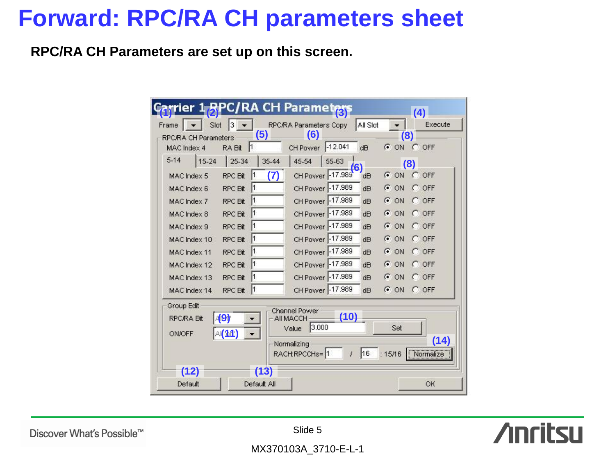# **Forward: RPC/RA CH parameters sheet**

**RPC/RA CH Parameters are set up on this screen.**

|                                                                                                                                                                                                                                                 | er 1 RPC/RA CH Parametras |                        |       |          |          | (4)          |
|-------------------------------------------------------------------------------------------------------------------------------------------------------------------------------------------------------------------------------------------------|---------------------------|------------------------|-------|----------|----------|--------------|
| Slot<br>Frame                                                                                                                                                                                                                                   | з                         | RPC/RA Parameters Copy |       | All Slot |          | Execute      |
| <b>RPC/RA CH Parameters</b>                                                                                                                                                                                                                     | (5)                       | (6)                    |       |          | (8)      |              |
| MAC Index 4                                                                                                                                                                                                                                     | 11<br>RA Bit              | CH Power -12.041       |       | dB       | $G$ ON   | C OFF        |
| $5 - 14$<br>15-24                                                                                                                                                                                                                               | 25-34<br>35-44            | 45-54                  | 55-63 | (6)      |          | (8)          |
| MAC Index 5                                                                                                                                                                                                                                     | (7)<br><b>RPC Bit</b>     | CH Power -17.989       |       | dB       | $G$ ON   | C OFF        |
| MAC Index 6                                                                                                                                                                                                                                     | <b>RPC Bit</b><br>ľ1      | CH Power -17.989       |       | dH       | G<br>ON  | OFF<br>o     |
| MAC Index 7                                                                                                                                                                                                                                     | l1<br>RPC Bit             | CH Power -17.989       |       | dB       | G<br>ON  | OFF<br>o     |
| MAC Index 8                                                                                                                                                                                                                                     | ľ1<br><b>RPC Bit</b>      | CH Power -17.989       |       | dB       | $G$ ON   | $\Gamma$ OFF |
| MAC Index 9                                                                                                                                                                                                                                     | 11<br><b>RPC Bit</b>      | CH Power -17.989       |       | dB       | G<br>ON  | $C$ OFF      |
| MAC Index 10                                                                                                                                                                                                                                    | ľ1<br><b>RPC Bit</b>      | CH Power -17.989       |       | dB       | G<br>ON  | OFF<br>o     |
| MAC Index 11                                                                                                                                                                                                                                    | RPC Bit<br>ľ1             | CH Power -17.989       |       | dB       | G.<br>ON | OFF<br>O     |
| MAC Index 12                                                                                                                                                                                                                                    | ľ1<br><b>RPC Bit</b>      | CH Power -17.989       |       | dH       | G<br>ON  | OFF<br>C.    |
| MAC Index 13                                                                                                                                                                                                                                    | <b>RPC Bit</b><br>l1      | CH Power -17.989       |       | dB       | G<br>ON  | $C$ OFF      |
| MAC Index 14                                                                                                                                                                                                                                    | l1<br><b>RPC Bit</b>      | CH Power -17.989       |       | dB       | $C$ ON   | $\Gamma$ OFF |
| Group Edit<br>Channel Power<br>(10)<br>$\vert \langle 9 \rangle$<br><b>RPC/RA Bit</b><br>AII MACCH<br>3.000<br>Set<br>Value<br>A(11)<br><b>ON/OFF</b><br>(14)<br>Normalizing<br>Normalize<br>16<br>RACH:RPCCHs=1<br>:15/16<br>ţ<br>(13)<br>(12) |                           |                        |       |          |          |              |
| Default                                                                                                                                                                                                                                         | Default All               |                        |       |          |          | OK           |

**Anritsu** 

Discover What's Possible™

Slide 5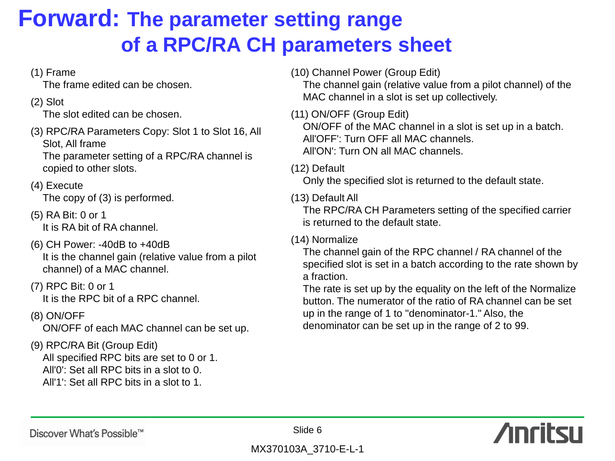# **Forward: The parameter setting range of a RPC/RA CH parameters sheet**

## (1) Frame

The frame edited can be chosen.

## (2) Slot

The slot edited can be chosen.

(3) RPC/RA Parameters Copy: Slot 1 to Slot 16, All Slot, All frame

The parameter setting of a RPC/RA channel is copied to other slots.

## (4) Execute

The copy of (3) is performed.

- (5) RA Bit: 0 or 1 It is RA bit of RA channel.
- (6) CH Power: -40dB to +40dB It is the channel gain (relative value from a pilot channel) of a MAC channel.
- (7) RPC Bit: 0 or 1 It is the RPC bit of a RPC channel.
- (8) ON/OFF

ON/OFF of each MAC channel can be set up.

# (9) RPC/RA Bit (Group Edit)

All specified RPC bits are set to 0 or 1. All'0': Set all RPC bits in a slot to 0. All'1': Set all RPC bits in a slot to 1.

(10) Channel Power (Group Edit)

The channel gain (relative value from a pilot channel) of the MAC channel in a slot is set up collectively.

(11) ON/OFF (Group Edit) ON/OFF of the MAC channel in a slot is set up in a batch. All'OFF': Turn OFF all MAC channels. All'ON': Turn ON all MAC channels.

## (12) Default

Only the specified slot is returned to the default state.

### (13) Default All

The RPC/RA CH Parameters setting of the specified carrier is returned to the default state.

## (14) Normalize

The channel gain of the RPC channel / RA channel of the specified slot is set in a batch according to the rate shown by a fraction.

The rate is set up by the equality on the left of the Normalize button. The numerator of the ratio of RA channel can be set up in the range of 1 to "denominator-1." Also, the denominator can be set up in the range of 2 to 99.

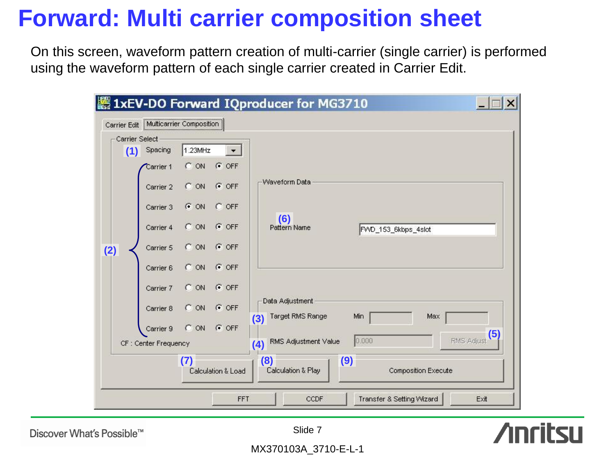# **Forward: Multi carrier composition sheet**

On this screen, waveform pattern creation of multi-carrier (single carrier) is performed using the waveform pattern of each single carrier created in Carrier Edit.

| Carrier Select |                       |         |                    |                                            |     |                      |                            |            |
|----------------|-----------------------|---------|--------------------|--------------------------------------------|-----|----------------------|----------------------------|------------|
|                | $(1)$ Spacing         | 1.23MHz |                    |                                            |     |                      |                            |            |
|                | Carrier 1             | C ON    | $G$ OFF            |                                            |     |                      |                            |            |
|                | Carrier 2             | C ON    | $G$ OFF            | Waveform Data                              |     |                      |                            |            |
|                | Carrier 3             | $G$ ON  | $C$ OFF            |                                            |     |                      |                            |            |
|                | Carrier 4             | C ON    | $G$ OFF            | (6)<br>Pattern Name                        |     | FVVD_153_6kbps_4slot |                            |            |
| (2)            | Carrier 5             | C ON    | $G$ OFF            |                                            |     |                      |                            |            |
|                | Carrier 6             | $C$ ON  | $G$ OFF            |                                            |     |                      |                            |            |
|                | Carrier 7             | C ON    | $G$ OFF            |                                            |     |                      |                            |            |
|                | Carrier 8             | C ON    | $G$ OFF            | Data Adjustment<br>Target RMS Range<br>(3) |     | Min                  | Max                        |            |
|                | Carrier 9             | C ON    | $G$ OFF            |                                            |     |                      |                            | (5)        |
|                | CF : Center Frequency |         |                    | RMS Adjustment Value<br>(4)                |     | 0.000                |                            | RMS Adjust |
|                |                       | 7)      | Calculation & Load | (8)<br>Calculation & Play                  | (9) |                      | <b>Composition Execute</b> |            |

**Anritsu** 

Discover What's Possible™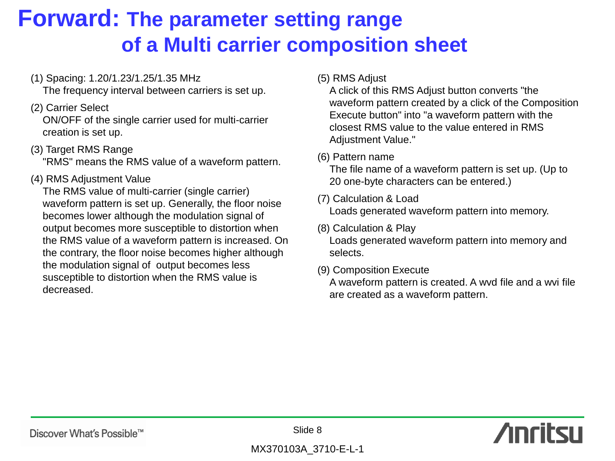# **Forward: The parameter setting range of a Multi carrier composition sheet**

(1) Spacing: 1.20/1.23/1.25/1.35 MHz

The frequency interval between carriers is set up.

## (2) Carrier Select

ON/OFF of the single carrier used for multi-carrier creation is set up.

(3) Target RMS Range

"RMS" means the RMS value of a waveform pattern.

## (4) RMS Adjustment Value

The RMS value of multi-carrier (single carrier) waveform pattern is set up. Generally, the floor noise becomes lower although the modulation signal of output becomes more susceptible to distortion when the RMS value of a waveform pattern is increased. On the contrary, the floor noise becomes higher although the modulation signal of output becomes less susceptible to distortion when the RMS value is decreased.

(5) RMS Adjust

A click of this RMS Adjust button converts "the waveform pattern created by a click of the Composition Execute button" into "a waveform pattern with the closest RMS value to the value entered in RMS Adjustment Value."

(6) Pattern name

The file name of a waveform pattern is set up. (Up to 20 one-byte characters can be entered.)

(7) Calculation & Load

Loads generated waveform pattern into memory.

- (8) Calculation & Play Loads generated waveform pattern into memory and selects.
- (9) Composition Execute

A waveform pattern is created. A wvd file and a wvi file are created as a waveform pattern.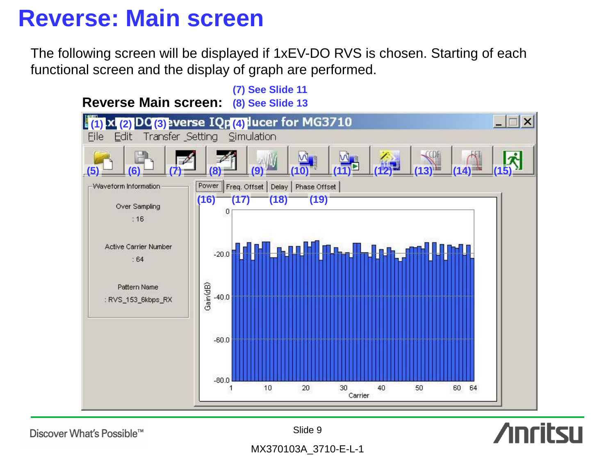# **Reverse: Main screen**

The following screen will be displayed if 1xEV-DO RVS is chosen. Starting of each functional screen and the display of graph are performed.



Discover What's Possible™

Slide 9

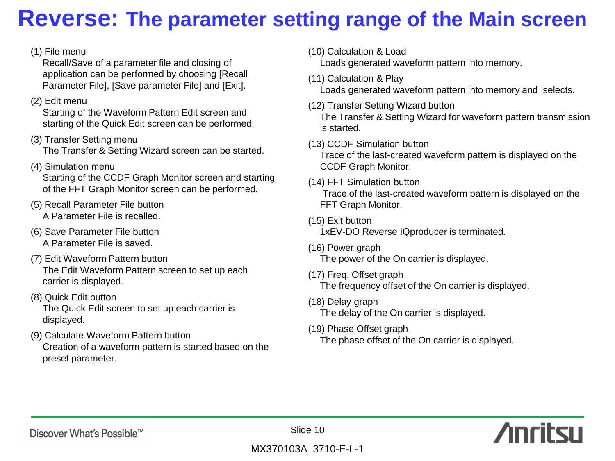# **Reverse: The parameter setting range of the Main screen**

### (1) File menu

Recall/Save of a parameter file and closing of application can be performed by choosing [Recall Parameter File], [Save parameter File] and [Exit].

### (2) Edit menu

Starting of the Waveform Pattern Edit screen and starting of the Quick Edit screen can be performed.

(3) Transfer Setting menu

The Transfer & Setting Wizard screen can be started.

(4) Simulation menu

Starting of the CCDF Graph Monitor screen and starting of the FFT Graph Monitor screen can be performed.

- (5) Recall Parameter File button A Parameter File is recalled.
- (6) Save Parameter File button A Parameter File is saved.
- (7) Edit Waveform Pattern button The Edit Waveform Pattern screen to set up each carrier is displayed.
- (8) Quick Edit button The Quick Edit screen to set up each carrier is displayed.
- (9) Calculate Waveform Pattern button Creation of a waveform pattern is started based on the preset parameter.
- (10) Calculation & Load Loads generated waveform pattern into memory.
- (11) Calculation & Play

Loads generated waveform pattern into memory and selects.

- (12) Transfer Setting Wizard button The Transfer & Setting Wizard for waveform pattern transmission is started.
- (13) CCDF Simulation button

Trace of the last-created waveform pattern is displayed on the CCDF Graph Monitor.

(14) FFT Simulation button

Trace of the last-created waveform pattern is displayed on the FFT Graph Monitor.

- (15) Exit button 1xEV-DO Reverse IQproducer is terminated.
- (16) Power graph The power of the On carrier is displayed.
- (17) Freq. Offset graph The frequency offset of the On carrier is displayed.
- (18) Delay graph The delay of the On carrier is displayed.
- (19) Phase Offset graph The phase offset of the On carrier is displayed.



Slide 10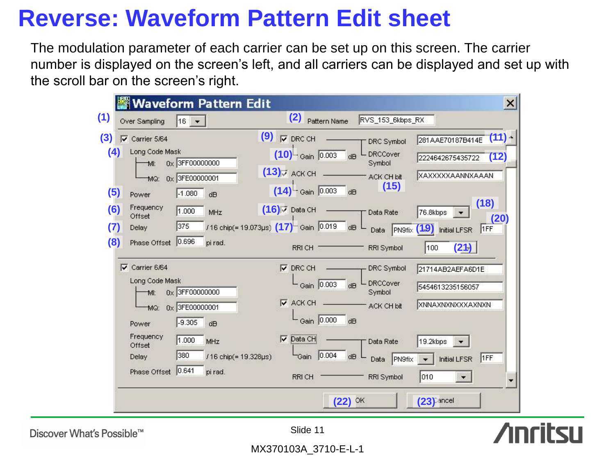# **Reverse: Waveform Pattern Edit sheet**

The modulation parameter of each carrier can be set up on this screen. The carrier number is displayed on the screen's left, and all carriers can be displayed and set up with the scroll bar on the screen's right.

| $16 +$<br>Over Sampling                                                                                         | (2)<br>Pattern Name                                                                          | RVS_153_6kbps_RX                                            |                                                                           |
|-----------------------------------------------------------------------------------------------------------------|----------------------------------------------------------------------------------------------|-------------------------------------------------------------|---------------------------------------------------------------------------|
| $\overline{\mathsf{v}}$ Carrier 5/64<br>Long Code Mask<br>(4)<br>0x 3FF00000000<br>MI:<br>0x 3FE00000001<br>MQ: | $(9)$ $\sqrt{ }$ DRC CH<br>$(10)$ Gain 0.003<br>$(13)$ <sub><math>\sigma</math> ACK CH</sub> | DRC Symbol<br><b>DRCCover</b><br>dB<br>Symbol<br>ACK CH bit | $(11) -$<br>281AAE70187B414E<br>2224642675435722 (12)<br>XAXXXXXAANNXAAAN |
| (5)<br>$-1.080$<br>Power<br>dB<br>Frequency<br>(6)<br>1.000<br>MHz<br>Offset                                    | $(14)^{\Box}$ Gain 0.003<br>dB<br>$(16)$ $\bar{v}$ Data CH                                   | (15)<br>Data Rate                                           | (18)<br>76.8kbps<br>(20)                                                  |
| 375<br>(7)<br>Delay<br>0.696<br>(8)<br>Phase Offset<br>pi rad.                                                  | /16 chip(= 19.073µs) (17) Gain 0.019<br>RRICH T                                              | dB<br>Data<br>RRI Symbol                                    | PN9fix (19) Initial LFSR<br>1FF<br>(21)<br>100                            |
| $\nabla$ Carrier 6/64<br>Long Code Mask<br>0x 3FF00000000<br>MI:<br>0x 3FE00000001<br>MQ:                       | $\nabla$ DRC CH<br>Gain 0.003<br>$\overline{\triangledown}$ ACK CH                           | DRC Symbol<br>∟ DRCCover<br>dB<br>Symbol<br>ACK CH bit      | 21714AB2AEFA6D1E<br>5454613235156057<br>XNNAXNXNXXXAXNXN                  |
| $-9.305$<br>dB<br>Power<br>Frequency<br>1.000<br>MHz<br>Offset<br>380<br><b>Delay</b>                           | Gain 0.000<br>dB<br>$\nabla$ Data CH<br> 0.004<br>/16 chip(= 19.328µs)<br>Gain               | Data Rate<br>dB<br>PN9fix<br>Data                           | 19.2kbps<br>1FF<br>Initial LFSR                                           |
| 0.641<br>Phase Offset<br>pi rad.                                                                                | RRI CH                                                                                       | <b>RRI Symbol</b>                                           | 010<br>$(23)$ ancel                                                       |

**Anritsu** 

Discover What's Possible™

Slide 11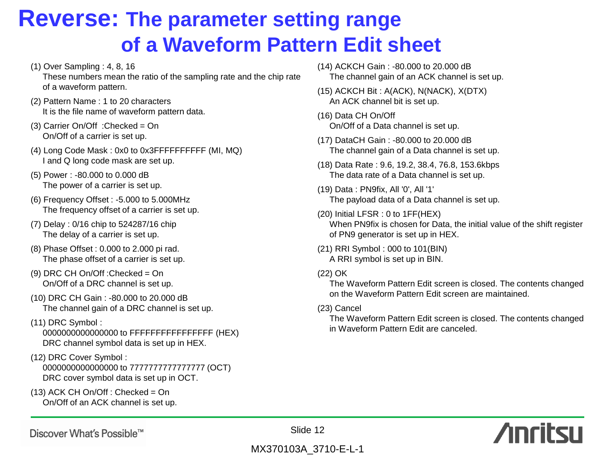# **Reverse: The parameter setting range of a Waveform Pattern Edit sheet**

- (1) Over Sampling : 4, 8, 16 These numbers mean the ratio of the sampling rate and the chip rate of a waveform pattern.
- (2) Pattern Name : 1 to 20 characters It is the file name of waveform pattern data.
- (3) Carrier On/Off :Checked = On On/Off of a carrier is set up.
- (4) Long Code Mask : 0x0 to 0x3FFFFFFFFFF (MI, MQ) I and Q long code mask are set up.
- (5) Power : -80.000 to 0.000 dB The power of a carrier is set up.
- (6) Frequency Offset : -5.000 to 5.000MHz The frequency offset of a carrier is set up.
- (7) Delay : 0/16 chip to 524287/16 chip The delay of a carrier is set up.
- (8) Phase Offset : 0.000 to 2.000 pi rad. The phase offset of a carrier is set up.
- (9) DRC CH On/Off :Checked = On On/Off of a DRC channel is set up.
- (10) DRC CH Gain : -80.000 to 20.000 dB The channel gain of a DRC channel is set up.
- (11) DRC Symbol :

0000000000000000 to FFFFFFFFFFFFFFFF (HEX) DRC channel symbol data is set up in HEX.

- (12) DRC Cover Symbol : 0000000000000000 to 7777777777777777 (OCT) DRC cover symbol data is set up in OCT.
- $(13)$  ACK CH On/Off : Checked = On On/Off of an ACK channel is set up.
- (14) ACKCH Gain : -80.000 to 20.000 dB The channel gain of an ACK channel is set up.
- (15) ACKCH Bit : A(ACK), N(NACK), X(DTX) An ACK channel bit is set up.
- (16) Data CH On/Off On/Off of a Data channel is set up.
- (17) DataCH Gain : -80.000 to 20.000 dB The channel gain of a Data channel is set up.
- (18) Data Rate : 9.6, 19.2, 38.4, 76.8, 153.6kbps The data rate of a Data channel is set up.
- (19) Data : PN9fix, All '0', All '1' The payload data of a Data channel is set up.
- (20) Initial LFSR : 0 to 1FF(HEX) When PN9fix is chosen for Data, the initial value of the shift register of PN9 generator is set up in HEX.
- (21) RRI Symbol : 000 to 101(BIN) A RRI symbol is set up in BIN.
- (22) OK

The Waveform Pattern Edit screen is closed. The contents changed on the Waveform Pattern Edit screen are maintained.

(23) Cancel

The Waveform Pattern Edit screen is closed. The contents changed in Waveform Pattern Edit are canceled.





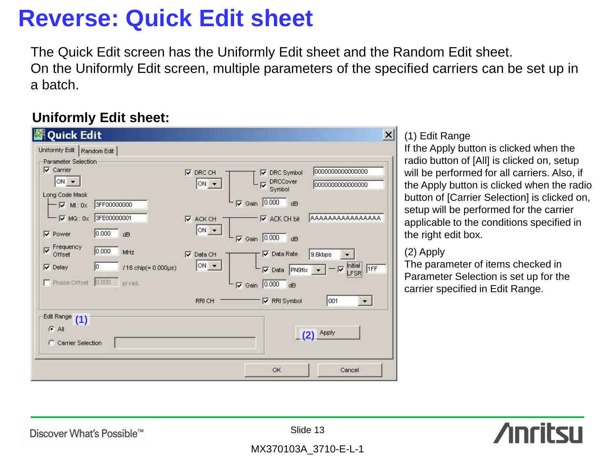# **Reverse: Quick Edit sheet**

The Quick Edit screen has the Uniformly Edit sheet and the Random Edit sheet. On the Uniformly Edit screen, multiple parameters of the specified carriers can be set up in a batch.

# **Uniformly Edit sheet:**



## (1) Edit Range

If the Apply button is clicked when the radio button of [All] is clicked on, setup will be performed for all carriers. Also, if the Apply button is clicked when the radio button of [Carrier Selection] is clicked on, setup will be performed for the carrier applicable to the conditions specified in the right edit box.

### (2) Apply

The parameter of items checked in Parameter Selection is set up for the carrier specified in Edit Range.



Discover What's Possible™

Slide 13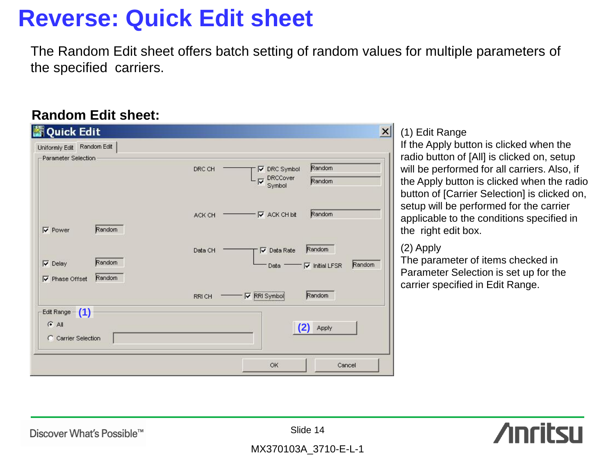# **Reverse: Quick Edit sheet**

The Random Edit sheet offers batch setting of random values for multiple parameters of the specified carriers.

## **Random Edit sheet:**

| Uniformly Edit Random Edit                                  |         |                                                 |                  |
|-------------------------------------------------------------|---------|-------------------------------------------------|------------------|
| Parameter Selection                                         |         |                                                 |                  |
|                                                             | DRC CH  | $\nabla$ DRC Symbol<br>DRCCover<br>└▽<br>Symbol | Random<br>Random |
| Random<br>$\nabla$ Power                                    | ACK CH  | $\nabla$ ACK CH bit                             | Random           |
|                                                             | Data CH | $\overline{\triangledown}$ Data Rate            | Random           |
| Random<br>$\nabla$ Delay<br>Random<br>$\nabla$ Phase Offset |         |                                                 | Random           |
|                                                             | RRI CH  | $\nabla$ RRI Symbol                             | Random           |
| Edit Range - (1)                                            |         |                                                 |                  |
| $G$ All<br>C Carrier Selection                              |         |                                                 | $(2)$ Apply      |
|                                                             |         | OK                                              | Cancel           |

## (1) Edit Range

If the Apply button is clicked when the radio button of [All] is clicked on, setup will be performed for all carriers. Also, if the Apply button is clicked when the radio button of [Carrier Selection] is clicked on, setup will be performed for the carrier applicable to the conditions specified in the right edit box.

## (2) Apply

The parameter of items checked in Parameter Selection is set up for the carrier specified in Edit Range.



Discover What's Possible™

Slide 14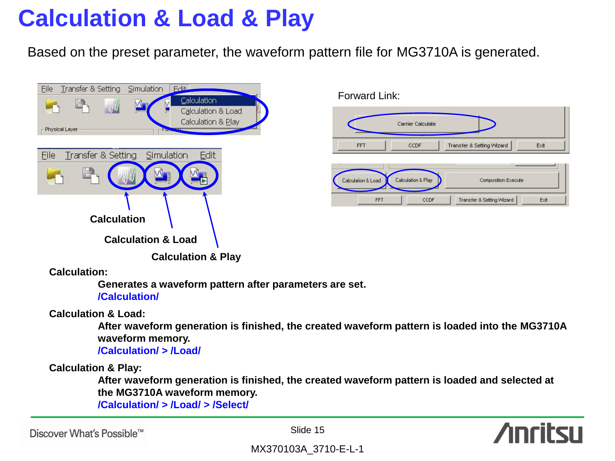# **Calculation & Load & Play**

Based on the preset parameter, the waveform pattern file for MG3710A is generated.



|            | Carrier Calculate |                           |      |
|------------|-------------------|---------------------------|------|
| <b>FFT</b> | CCDF              | Transfer & Setting Wizard | Exit |
|            |                   |                           |      |
|            |                   |                           |      |
|            |                   |                           |      |

Forward Link:

**Calculation:**

**Generates a waveform pattern after parameters are set. /Calculation/**

**Calculation & Load:**

**After waveform generation is finished, the created waveform pattern is loaded into the MG3710A waveform memory. /Calculation/ > /Load/**

**Calculation & Play:**

**After waveform generation is finished, the created waveform pattern is loaded and selected at the MG3710A waveform memory.**

**/Calculation/ > /Load/ > /Select/**

Discover What's Possible™

Slide 15

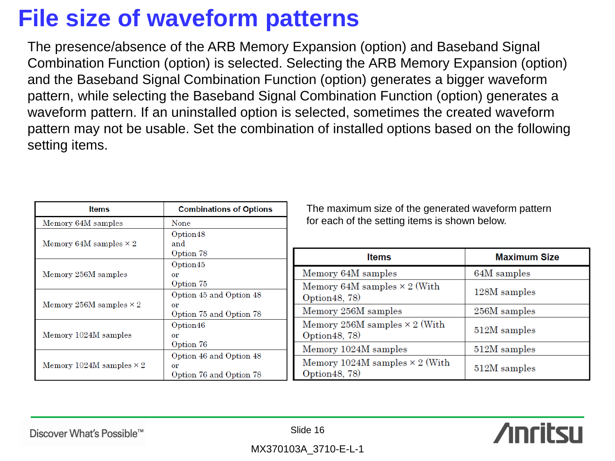# **File size of waveform patterns**

The presence/absence of the ARB Memory Expansion (option) and Baseband Signal Combination Function (option) is selected. Selecting the ARB Memory Expansion (option) and the Baseband Signal Combination Function (option) generates a bigger waveform pattern, while selecting the Baseband Signal Combination Function (option) generates a waveform pattern. If an uninstalled option is selected, sometimes the created waveform pattern may not be usable. Set the combination of installed options based on the following setting items.

| <b>Items</b>                    | <b>Combinations of Options</b>                           | Tł                      |
|---------------------------------|----------------------------------------------------------|-------------------------|
| Memory 64M samples              | None                                                     | fo                      |
| Memory 64M samples $\times 2$   | Option48<br>and<br>Option 78                             |                         |
| Memory 256M samples             | Option45<br>or<br>Option 75                              | Me<br>$_{\rm Me}$       |
| Memory 256M samples $\times$ 2  | Option 45 and Option 48<br>or<br>Option 75 and Option 78 | Oр<br>$_{\rm Me}$       |
| Memory 1024M samples            | Option46<br>or<br>Option 76                              | $_{\rm Me}$<br>Op<br>Me |
| Memory 1024M samples $\times 2$ | Option 46 and Option 48<br>or<br>Option 76 and Option 78 | Me<br>Oр                |

ne maximum size of the generated waveform pattern r each of the setting items is shown below.

| <b>Items</b>                                            | <b>Maximum Size</b> |
|---------------------------------------------------------|---------------------|
| Memory 64M samples                                      | 64M samples         |
| Memory 64M samples $\times$ 2 (With<br>Option 48, 78)   | 128M samples        |
| Memory 256M samples                                     | 256M samples        |
| Memory 256M samples $\times$ 2 (With<br>Option 48, 78)  | 512M samples        |
| Memory 1024M samples                                    | 512M samples        |
| Memory 1024M samples $\times$ 2 (With<br>Option 48, 78) | 512M samples        |